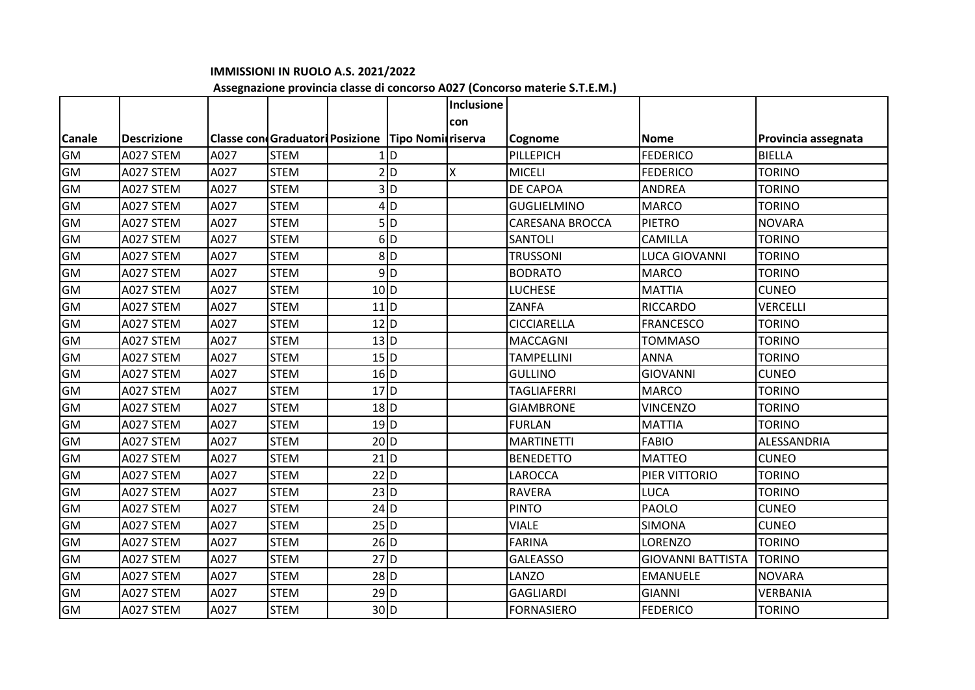## **IMMISSIONI IN RUOLO A.S. 2021/2022**

## **Assegnazione provincia classe di concorso A027 (Concorso materie S.T.E.M.)**

|               |                    |      |                                                     |                   |                  | <b>Inclusione</b> |                    |                          |                     |
|---------------|--------------------|------|-----------------------------------------------------|-------------------|------------------|-------------------|--------------------|--------------------------|---------------------|
|               |                    |      |                                                     |                   |                  | con               |                    |                          |                     |
| <b>Canale</b> | <b>Descrizione</b> |      | Classe con Graduatori Posizione   Tipo Nomi riserva |                   |                  |                   | Cognome            | <b>Nome</b>              | Provincia assegnata |
| <b>GM</b>     | A027 STEM          | A027 | <b>STEM</b>                                         |                   | <b>D</b>         |                   | PILLEPICH          | <b>FEDERICO</b>          | <b>BIELLA</b>       |
| <b>GM</b>     | A027 STEM          | A027 | <b>STEM</b>                                         |                   | 2 D              | X                 | <b>MICELI</b>      | <b>FEDERICO</b>          | <b>TORINO</b>       |
| GM            | A027 STEM          | A027 | <b>STEM</b>                                         |                   | 3ID              |                   | DE CAPOA           | <b>ANDREA</b>            | <b>TORINO</b>       |
| GM            | A027 STEM          | A027 | <b>STEM</b>                                         |                   | $4$ D            |                   | <b>GUGLIELMINO</b> | <b>MARCO</b>             | <b>TORINO</b>       |
| GM            | A027 STEM          | A027 | <b>STEM</b>                                         |                   | 5ID              |                   | CARESANA BROCCA    | <b>PIETRO</b>            | <b>NOVARA</b>       |
| GM            | A027 STEM          | A027 | <b>STEM</b>                                         |                   | 6D               |                   | <b>SANTOLI</b>     | CAMILLA                  | <b>TORINO</b>       |
| <b>GM</b>     | A027 STEM          | A027 | <b>STEM</b>                                         |                   | 8 D              |                   | <b>TRUSSONI</b>    | <b>LUCA GIOVANNI</b>     | <b>TORINO</b>       |
| GM            | A027 STEM          | A027 | <b>STEM</b>                                         |                   | $9$ <sub>D</sub> |                   | <b>BODRATO</b>     | <b>MARCO</b>             | <b>TORINO</b>       |
| GM            | A027 STEM          | A027 | <b>STEM</b>                                         | 10 D              |                  |                   | LUCHESE            | <b>MATTIA</b>            | <b>CUNEO</b>        |
| GM            | A027 STEM          | A027 | <b>STEM</b>                                         | $11$ <sub>D</sub> |                  |                   | ZANFA              | <b>RICCARDO</b>          | <b>VERCELLI</b>     |
| GM            | A027 STEM          | A027 | <b>STEM</b>                                         | $12$ <sub>D</sub> |                  |                   | <b>CICCIARELLA</b> | <b>FRANCESCO</b>         | <b>TORINO</b>       |
| <b>GM</b>     | A027 STEM          | A027 | <b>STEM</b>                                         | 13 D              |                  |                   | <b>MACCAGNI</b>    | <b>TOMMASO</b>           | <b>TORINO</b>       |
| GM            | A027 STEM          | A027 | <b>STEM</b>                                         | 15 D              |                  |                   | <b>TAMPELLINI</b>  | <b>ANNA</b>              | <b>TORINO</b>       |
| GM            | A027 STEM          | A027 | <b>STEM</b>                                         | $16$ <sub>D</sub> |                  |                   | <b>GULLINO</b>     | <b>GIOVANNI</b>          | <b>CUNEO</b>        |
| GM            | A027 STEM          | A027 | <b>STEM</b>                                         | $17$ <sub>D</sub> |                  |                   | <b>TAGLIAFERRI</b> | <b>MARCO</b>             | <b>TORINO</b>       |
| GM            | A027 STEM          | A027 | <b>STEM</b>                                         | $18$ <sub>D</sub> |                  |                   | <b>GIAMBRONE</b>   | <b>VINCENZO</b>          | <b>TORINO</b>       |
| <b>GM</b>     | A027 STEM          | A027 | <b>STEM</b>                                         | $19$ <sub>D</sub> |                  |                   | <b>FURLAN</b>      | <b>MATTIA</b>            | <b>TORINO</b>       |
| GM            | A027 STEM          | A027 | <b>STEM</b>                                         | 20 D              |                  |                   | <b>MARTINETTI</b>  | <b>FABIO</b>             | ALESSANDRIA         |
| GM            | A027 STEM          | A027 | <b>STEM</b>                                         | $21$ D            |                  |                   | <b>BENEDETTO</b>   | <b>MATTEO</b>            | <b>CUNEO</b>        |
| GM            | A027 STEM          | A027 | <b>STEM</b>                                         | $22$ D            |                  |                   | LAROCCA            | PIER VITTORIO            | <b>TORINO</b>       |
| GM            | A027 STEM          | A027 | <b>STEM</b>                                         | $23$ D            |                  |                   | <b>RAVERA</b>      | LUCA                     | <b>TORINO</b>       |
| <b>GM</b>     | A027 STEM          | A027 | <b>STEM</b>                                         | $24$ D            |                  |                   | <b>PINTO</b>       | <b>PAOLO</b>             | <b>CUNEO</b>        |
| GM            | A027 STEM          | A027 | <b>STEM</b>                                         | $25$ D            |                  |                   | <b>VIALE</b>       | <b>SIMONA</b>            | <b>CUNEO</b>        |
| <b>GM</b>     | A027 STEM          | A027 | <b>STEM</b>                                         | $26$ D            |                  |                   | <b>FARINA</b>      | LORENZO                  | <b>TORINO</b>       |
| GM            | A027 STEM          | A027 | <b>STEM</b>                                         | $27$ D            |                  |                   | <b>GALEASSO</b>    | <b>GIOVANNI BATTISTA</b> | <b>TORINO</b>       |
| GM            | A027 STEM          | A027 | <b>STEM</b>                                         | $28$ D            |                  |                   | LANZO              | <b>EMANUELE</b>          | <b>NOVARA</b>       |
| <b>GM</b>     | A027 STEM          | A027 | <b>STEM</b>                                         | $29$ <sub>D</sub> |                  |                   | <b>GAGLIARDI</b>   | <b>GIANNI</b>            | VERBANIA            |
| <b>GM</b>     | A027 STEM          | A027 | <b>STEM</b>                                         | 30 D              |                  |                   | <b>FORNASIERO</b>  | <b>FEDERICO</b>          | <b>TORINO</b>       |